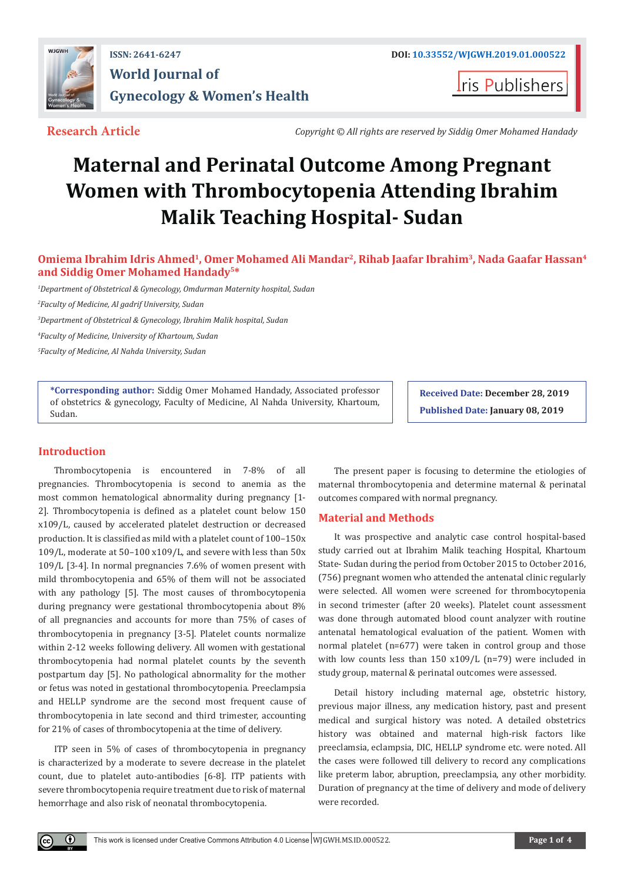

## **ISSN: 2641-6247 DOI: [10.33552/WJGWH.2019.01.000522](http://dx.doi.org/10.33552/WJGWH.2019.01.000522) World Journal of Gynecology & Women's Health**

**Iris Publishers** 

**Research Article** *Copyright © All rights are reserved by Siddig Omer Mohamed Handady*

# **Maternal and Perinatal Outcome Among Pregnant Women with Thrombocytopenia Attending Ibrahim Malik Teaching Hospital- Sudan**

### **Omiema Ibrahim Idris Ahmed1, Omer Mohamed Ali Mandar2, Rihab Jaafar Ibrahim3, Nada Gaafar Hassan4 and Siddig Omer Mohamed Handady5\***

*1 Department of Obstetrical & Gynecology, Omdurman Maternity hospital, Sudan*

*2 Faculty of Medicine, Al gadrif University, Sudan*

*3 Department of Obstetrical & Gynecology, Ibrahim Malik hospital, Sudan*

*4 Faculty of Medicine, University of Khartoum, Sudan*

*5 Faculty of Medicine, Al Nahda University, Sudan*

**\*Corresponding author:** Siddig Omer Mohamed Handady, Associated professor of obstetrics & gynecology, Faculty of Medicine, Al Nahda University, Khartoum, Sudan.

**Received Date: December 28, 2019 Published Date: January 08, 2019**

#### **Introduction**

 $^\circledR$ 

Thrombocytopenia is encountered in 7-8% of all pregnancies. Thrombocytopenia is second to anemia as the most common hematological abnormality during pregnancy [1- 2]. Thrombocytopenia is defined as a platelet count below 150 x109/L, caused by accelerated platelet destruction or decreased production. It is classified as mild with a platelet count of 100–150x 109/L, moderate at 50–100 x109/L, and severe with less than 50x 109/L [3-4]. In normal pregnancies 7.6% of women present with mild thrombocytopenia and 65% of them will not be associated with any pathology [5]. The most causes of thrombocytopenia during pregnancy were gestational thrombocytopenia about 8% of all pregnancies and accounts for more than 75% of cases of thrombocytopenia in pregnancy [3-5]. Platelet counts normalize within 2-12 weeks following delivery. All women with gestational thrombocytopenia had normal platelet counts by the seventh postpartum day [5]. No pathological abnormality for the mother or fetus was noted in gestational thrombocytopenia. Preeclampsia and HELLP syndrome are the second most frequent cause of thrombocytopenia in late second and third trimester, accounting for 21% of cases of thrombocytopenia at the time of delivery.

ITP seen in 5% of cases of thrombocytopenia in pregnancy is characterized by a moderate to severe decrease in the platelet count, due to platelet auto-antibodies [6-8]. ITP patients with severe thrombocytopenia require treatment due to risk of maternal hemorrhage and also risk of neonatal thrombocytopenia.

The present paper is focusing to determine the etiologies of maternal thrombocytopenia and determine maternal & perinatal outcomes compared with normal pregnancy.

#### **Material and Methods**

It was prospective and analytic case control hospital-based study carried out at Ibrahim Malik teaching Hospital, Khartoum State- Sudan during the period from October 2015 to October 2016, (756) pregnant women who attended the antenatal clinic regularly were selected. All women were screened for thrombocytopenia in second trimester (after 20 weeks). Platelet count assessment was done through automated blood count analyzer with routine antenatal hematological evaluation of the patient. Women with normal platelet (n=677) were taken in control group and those with low counts less than 150 x109/L (n=79) were included in study group, maternal & perinatal outcomes were assessed.

Detail history including maternal age, obstetric history, previous major illness, any medication history, past and present medical and surgical history was noted. A detailed obstetrics history was obtained and maternal high-risk factors like preeclamsia, eclampsia, DIC, HELLP syndrome etc. were noted. All the cases were followed till delivery to record any complications like preterm labor, abruption, preeclampsia, any other morbidity. Duration of pregnancy at the time of delivery and mode of delivery were recorded.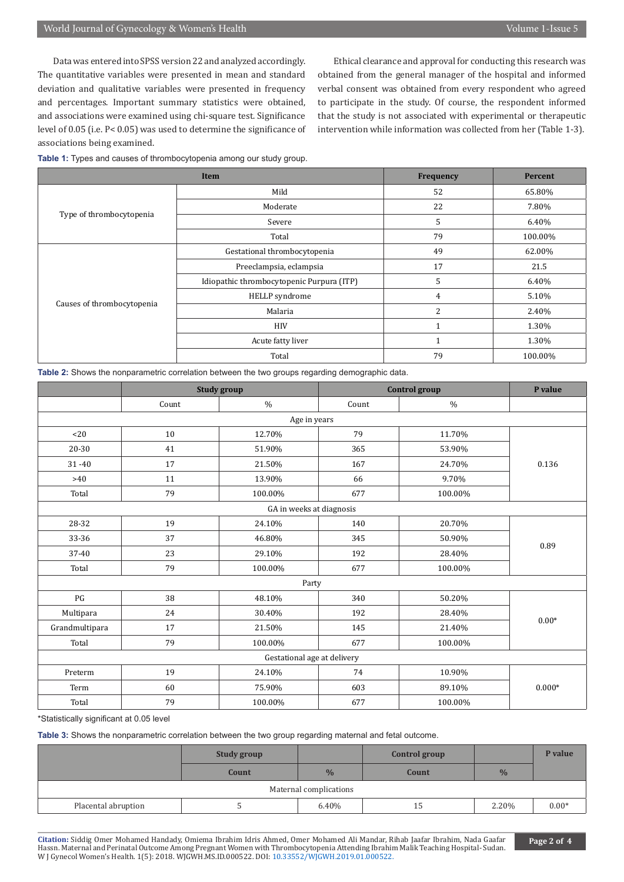Data was entered into SPSS version 22 and analyzed accordingly. The quantitative variables were presented in mean and standard deviation and qualitative variables were presented in frequency and percentages. Important summary statistics were obtained, and associations were examined using chi-square test. Significance level of 0.05 (i.e. P< 0.05) was used to determine the significance of associations being examined.

Ethical clearance and approval for conducting this research was obtained from the general manager of the hospital and informed verbal consent was obtained from every respondent who agreed to participate in the study. Of course, the respondent informed that the study is not associated with experimental or therapeutic intervention while information was collected from her (Table 1-3).

**Table 1:** Types and causes of thrombocytopenia among our study group.

| Item                       |                                           | <b>Frequency</b> | Percent |
|----------------------------|-------------------------------------------|------------------|---------|
| Type of thrombocytopenia   | Mild                                      | 52               | 65.80%  |
|                            | Moderate                                  | 22               | 7.80%   |
|                            | Severe                                    | 5                | 6.40%   |
|                            | Total                                     | 79               | 100.00% |
| Causes of thrombocytopenia | Gestational thrombocytopenia              | 49               | 62.00%  |
|                            | Preeclampsia, eclampsia                   | 17               | 21.5    |
|                            | Idiopathic thrombocytopenic Purpura (ITP) | 5                | 6.40%   |
|                            | HELLP syndrome                            | $\overline{4}$   | 5.10%   |
|                            | Malaria                                   | $\overline{2}$   | 2.40%   |
|                            | <b>HIV</b>                                |                  | 1.30%   |
|                            | Acute fatty liver                         |                  | 1.30%   |
|                            | Total                                     | 79               | 100.00% |

**Table 2:** Shows the nonparametric correlation between the two groups regarding demographic data.

|                             | <b>Study group</b> |                          | <b>Control</b> group |         | P value  |
|-----------------------------|--------------------|--------------------------|----------------------|---------|----------|
|                             | Count              | $\frac{0}{0}$            | Count                | $\%$    |          |
|                             |                    | Age in years             |                      |         |          |
| < 20                        | 10                 | 12.70%                   | 79                   | 11.70%  | 0.136    |
| 20-30                       | 41                 | 51.90%                   | 365                  | 53.90%  |          |
| $31 - 40$                   | 17                 | 21.50%                   | 167                  | 24.70%  |          |
| >40                         | 11                 | 13.90%                   | 66                   | 9.70%   |          |
| Total                       | 79                 | 100.00%                  | 677                  | 100.00% |          |
|                             |                    | GA in weeks at diagnosis |                      |         |          |
| 28-32                       | 19                 | 24.10%                   | 140                  | 20.70%  | 0.89     |
| 33-36                       | 37                 | 46.80%                   | 345                  | 50.90%  |          |
| 37-40                       | 23                 | 29.10%                   | 192                  | 28.40%  |          |
| Total                       | 79                 | 100.00%                  | 677                  | 100.00% |          |
| Party                       |                    |                          |                      |         |          |
| $\mathbf{P} \mathbf{G}$     | 38                 | 48.10%                   | 340                  | 50.20%  | $0.00*$  |
| Multipara                   | 24                 | 30.40%                   | 192                  | 28.40%  |          |
| Grandmultipara              | 17                 | 21.50%                   | 145                  | 21.40%  |          |
| Total                       | 79                 | 100.00%                  | 677                  | 100.00% |          |
| Gestational age at delivery |                    |                          |                      |         |          |
| Preterm                     | 19                 | 24.10%                   | 74                   | 10.90%  | $0.000*$ |
| Term                        | 60                 | 75.90%                   | 603                  | 89.10%  |          |
| Total                       | 79                 | 100.00%                  | 677                  | 100.00% |          |

\*Statistically significant at 0.05 level

**Table 3:** Shows the nonparametric correlation between the two group regarding maternal and fetal outcome.

|                        | <b>Study group</b> |               | <b>Control group</b> |               | P value |  |  |
|------------------------|--------------------|---------------|----------------------|---------------|---------|--|--|
|                        | Count              | $\frac{0}{0}$ | Count                | $\frac{0}{6}$ |         |  |  |
| Maternal complications |                    |               |                      |               |         |  |  |
| Placental abruption    |                    | 6.40%         | 15                   | 2.20%         | $0.00*$ |  |  |

**Citation:** Siddig Omer Mohamed Handady, Omiema Ibrahim Idris Ahmed, Omer Mohamed Ali Mandar, Rihab Jaafar Ibrahim, Nada Gaafar Hassn. Maternal and Perinatal Outcome Among Pregnant Women with [Thrombocytopenia Attending Ibrahim](http://dx.doi.org/10.33552/WJGWH.2019.01.000522) Malik Teaching Hospital- Sudan. W J Gynecol Women's Health. 1(5): 2018. WJGWH.MS.ID.000522. DOI: 10.33552/WJGWH.2019.01.000522.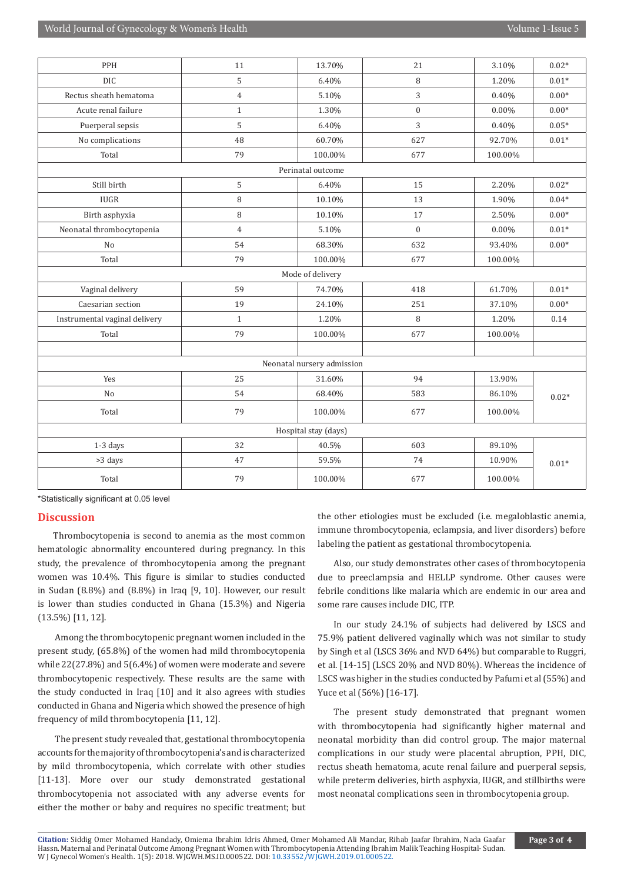| PPH                           | 11             | 13.70%                     | 21               | 3.10%    | $0.02*$ |
|-------------------------------|----------------|----------------------------|------------------|----------|---------|
| <b>DIC</b>                    | 5              | 6.40%                      | 8                | 1.20%    | $0.01*$ |
| Rectus sheath hematoma        | $\overline{4}$ | 5.10%                      | 3                | 0.40%    | $0.00*$ |
| Acute renal failure           | $\mathbf{1}$   | 1.30%                      | $\boldsymbol{0}$ | $0.00\%$ | $0.00*$ |
| Puerperal sepsis              | 5              | 6.40%                      | 3                | 0.40%    | $0.05*$ |
| No complications              | 48             | 60.70%                     | 627              | 92.70%   | $0.01*$ |
| Total                         | 79             | 100.00%                    | 677              | 100.00%  |         |
|                               |                | Perinatal outcome          |                  |          |         |
| Still birth                   | 5              | 6.40%                      | 15               | 2.20%    | $0.02*$ |
| <b>IUGR</b>                   | $\, 8$         | 10.10%                     | 13               | 1.90%    | $0.04*$ |
| Birth asphyxia                | 8              | 10.10%                     | 17               | 2.50%    | $0.00*$ |
| Neonatal thrombocytopenia     | $\overline{4}$ | 5.10%                      | $\Omega$         | $0.00\%$ | $0.01*$ |
| No                            | 54             | 68.30%                     | 632              | 93.40%   | $0.00*$ |
| Total                         | 79             | 100.00%                    | 677              | 100.00%  |         |
| Mode of delivery              |                |                            |                  |          |         |
| Vaginal delivery              | 59             | 74.70%                     | 418              | 61.70%   | $0.01*$ |
| Caesarian section             | 19             | 24.10%                     | 251              | 37.10%   | $0.00*$ |
| Instrumental vaginal delivery | $\mathbf{1}$   | 1.20%                      | 8                | 1.20%    | 0.14    |
| Total                         | 79             | 100.00%                    | 677              | 100.00%  |         |
|                               |                |                            |                  |          |         |
|                               |                | Neonatal nursery admission |                  |          |         |
| Yes                           | 25             | 31.60%                     | 94               | 13.90%   | $0.02*$ |
| No                            | 54             | 68.40%                     | 583              | 86.10%   |         |
| Total                         | 79             | 100.00%                    | 677              | 100.00%  |         |
| Hospital stay (days)          |                |                            |                  |          |         |
| 1-3 days                      | 32             | 40.5%                      | 603              | 89.10%   | $0.01*$ |
| >3 days                       | 47             | 59.5%                      | 74               | 10.90%   |         |
| Total                         | 79             | 100.00%                    | 677              | 100.00%  |         |

\*Statistically significant at 0.05 level

#### **Discussion**

Thrombocytopenia is second to anemia as the most common hematologic abnormality encountered during pregnancy. In this study, the prevalence of thrombocytopenia among the pregnant women was 10.4%. This figure is similar to studies conducted in Sudan (8.8%) and (8.8%) in Iraq [9, 10]. However, our result is lower than studies conducted in Ghana (15.3%) and Nigeria (13.5%) [11, 12].

 Among the thrombocytopenic pregnant women included in the present study, (65.8%) of the women had mild thrombocytopenia while 22(27.8%) and 5(6.4%) of women were moderate and severe thrombocytopenic respectively. These results are the same with the study conducted in Iraq [10] and it also agrees with studies conducted in Ghana and Nigeria which showed the presence of high frequency of mild thrombocytopenia [11, 12].

 The present study revealed that, gestational thrombocytopenia accounts for the majority of thrombocytopenia's and is characterized by mild thrombocytopenia, which correlate with other studies [11-13]. More over our study demonstrated gestational thrombocytopenia not associated with any adverse events for either the mother or baby and requires no specific treatment; but the other etiologies must be excluded (i.e. megaloblastic anemia, immune thrombocytopenia, eclampsia, and liver disorders) before labeling the patient as gestational thrombocytopenia.

Also, our study demonstrates other cases of thrombocytopenia due to preeclampsia and HELLP syndrome. Other causes were febrile conditions like malaria which are endemic in our area and some rare causes include DIC, ITP.

In our study 24.1% of subjects had delivered by LSCS and 75.9% patient delivered vaginally which was not similar to study by Singh et al (LSCS 36% and NVD 64%) but comparable to Ruggri, et al. [14-15] (LSCS 20% and NVD 80%). Whereas the incidence of LSCS was higher in the studies conducted by Pafumi et al (55%) and Yuce et al (56%) [16-17].

The present study demonstrated that pregnant women with thrombocytopenia had significantly higher maternal and neonatal morbidity than did control group. The major maternal complications in our study were placental abruption, PPH, DIC, rectus sheath hematoma, acute renal failure and puerperal sepsis, while preterm deliveries, birth asphyxia, IUGR, and stillbirths were most neonatal complications seen in thrombocytopenia group.

**Citation:** Siddig Omer Mohamed Handady, Omiema Ibrahim Idris Ahmed, Omer Mohamed Ali Mandar, Rihab Jaafar Ibrahim, Nada Gaafar Hassn. Maternal and Perinatal Outcome Among Pregnant Women with [Thrombocytopenia Attending Ibrahim](http://dx.doi.org/10.33552/WJGWH.2019.01.000522) Malik Teaching Hospital- Sudan. W J Gynecol Women's Health. 1(5): 2018. WJGWH.MS.ID.000522. DOI: 10.33552/WJGWH.2019.01.000522.